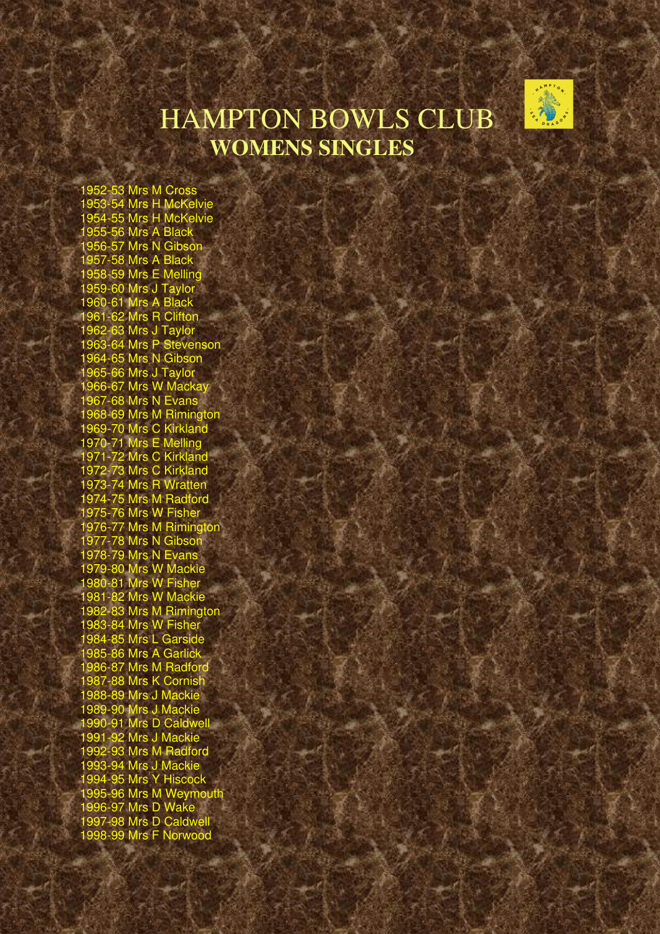

## HAMPTON BOWLS CLUB **WOMENS SINGLES**

1952-53 Mrs M Cross 1953-54 Mrs H McKelvie 1954-55 Mrs H McKelvie 1955-56 Mrs A Black 1956-57 Mrs N Gibson 1957-58 Mrs A Black 1958-59 Mrs E Melling 1959-60 Mrs J Taylor 1960-61 Mrs A Black 1961-62 Mrs R Clifton 1962-63 Mrs J Taylor 1963-64 Mrs P Stevenson 1964-65 Mrs N Gibson 1965-66 Mrs J Taylor 1966-67 Mrs W Mackay 1967-68 Mrs N Evans 1968-69 Mrs M Rimington 1969-70 Mrs C Kirkland 1970-71 Mrs E Melling 1971-72 Mrs C Kirkland 1972-73 Mrs C Kirkland 1973-74 Mrs R Wratten 1974-75 Mrs M Radford 1975-76 Mrs W Fisher 1976-77 Mrs M Rimington 1977-78 Mrs N Gibson 1978-79 Mrs N Evans 1979-80 Mrs W Mackie 1980-81 Mrs W Fisher 1981-82 Mrs W Mackie 1982-83 Mrs M Rimington 1983-84 Mrs W Fisher 1984-85 Mrs L Garside 1985-86 Mrs A Garlick 1986-87 Mrs M Radford 1987-88 Mrs K Cornish 1988-89 Mrs J Mackie 1989-90 Mrs J Mackie 1990-91 Mrs D Caldwell 1991-92 Mrs J Mackie 1992-93 Mrs M Radford 1993-94 Mrs J Mackie 1994-95 Mrs Y Hiscock 1995-96 Mrs M Weymouth 1996-97 Mrs D Wake 1997-98 Mrs D Caldwell 1998-99 Mrs F Norwood